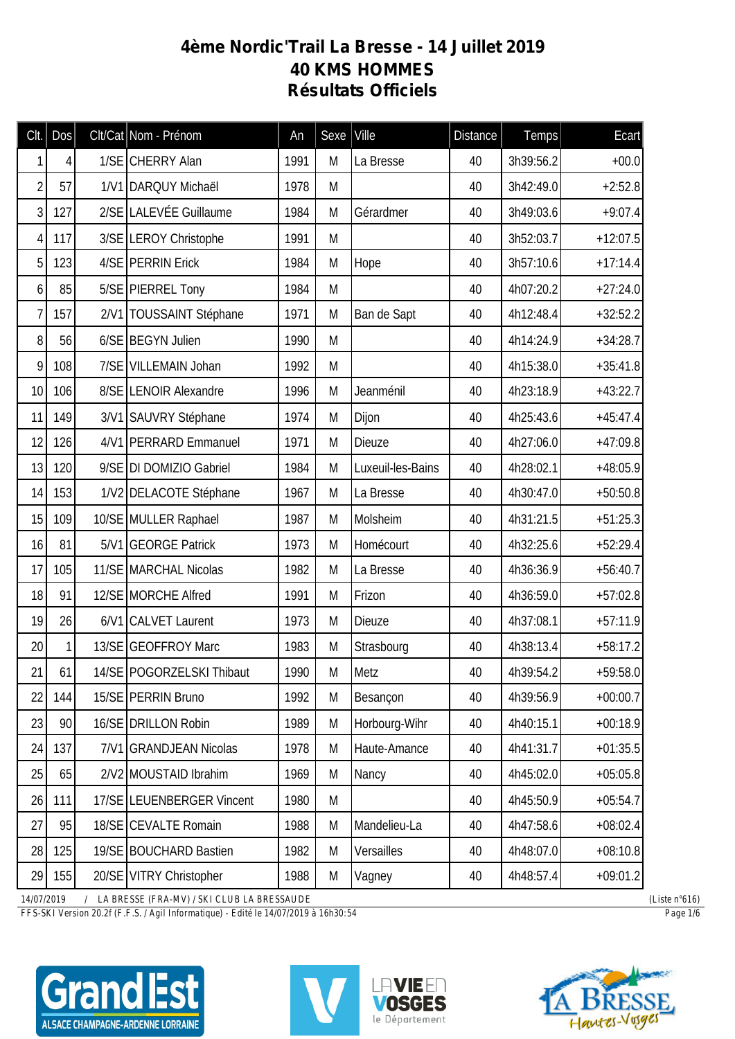## **4ème Nordic'Trail La Bresse - 14 Juillet 2019 40 KMS HOMMES Résultats Officiels**

| Clt.           | Dos | Clt/Cat Nom - Prénom        | An   | Sexe | Ville             | <b>Distance</b> | <b>Temps</b> | Ecart      |
|----------------|-----|-----------------------------|------|------|-------------------|-----------------|--------------|------------|
| 1              | 4   | 1/SE CHERRY Alan            | 1991 | M    | La Bresse         | 40              | 3h39:56.2    | $+00.0$    |
| $\overline{2}$ | 57  | 1/V1 DARQUY Michaël         | 1978 | M    |                   | 40              | 3h42:49.0    | $+2:52.8$  |
| 3              | 127 | 2/SE LALEVÉE Guillaume      | 1984 | M    | Gérardmer         | 40              | 3h49:03.6    | $+9:07.4$  |
| 4              | 117 | 3/SE LEROY Christophe       | 1991 | M    |                   | 40              | 3h52:03.7    | $+12:07.5$ |
| 5              | 123 | 4/SE PERRIN Erick           | 1984 | M    | Hope              | 40              | 3h57:10.6    | $+17:14.4$ |
| 6              | 85  | 5/SE PIERREL Tony           | 1984 | M    |                   | 40              | 4h07:20.2    | $+27:24.0$ |
| 7              | 157 | 2/V1 TOUSSAINT Stéphane     | 1971 | M    | Ban de Sapt       | 40              | 4h12:48.4    | $+32:52.2$ |
| 8              | 56  | 6/SE BEGYN Julien           | 1990 | M    |                   | 40              | 4h14:24.9    | $+34:28.7$ |
| 9              | 108 | 7/SE VILLEMAIN Johan        | 1992 | M    |                   | 40              | 4h15:38.0    | $+35:41.8$ |
| 10             | 106 | 8/SE LENOIR Alexandre       | 1996 | M    | Jeanménil         | 40              | 4h23:18.9    | $+43:22.7$ |
| 11             | 149 | 3/V1 SAUVRY Stéphane        | 1974 | M    | Dijon             | 40              | 4h25:43.6    | $+45:47.4$ |
| 12             | 126 | 4/V1 PERRARD Emmanuel       | 1971 | M    | Dieuze            | 40              | 4h27:06.0    | $+47:09.8$ |
| 13             | 120 | 9/SE DI DOMIZIO Gabriel     | 1984 | M    | Luxeuil-les-Bains | 40              | 4h28:02.1    | $+48:05.9$ |
| 14             | 153 | 1/V2 DELACOTE Stéphane      | 1967 | M    | La Bresse         | 40              | 4h30:47.0    | $+50:50.8$ |
| 15             | 109 | 10/SE MULLER Raphael        | 1987 | M    | Molsheim          | 40              | 4h31:21.5    | $+51:25.3$ |
| 16             | 81  | 5/V1 GEORGE Patrick         | 1973 | M    | Homécourt         | 40              | 4h32:25.6    | $+52:29.4$ |
| 17             | 105 | 11/SE MARCHAL Nicolas       | 1982 | M    | La Bresse         | 40              | 4h36:36.9    | $+56:40.7$ |
| 18             | 91  | 12/SE MORCHE Alfred         | 1991 | M    | Frizon            | 40              | 4h36:59.0    | $+57:02.8$ |
| 19             | 26  | 6/V1 CALVET Laurent         | 1973 | M    | Dieuze            | 40              | 4h37:08.1    | $+57:11.9$ |
| 20             | 1   | 13/SE GEOFFROY Marc         | 1983 | M    | Strasbourg        | 40              | 4h38:13.4    | $+58:17.2$ |
| 21             | 61  | 14/SE   POGORZELSKI Thibaut | 1990 | M    | Metz              | 40              | 4h39:54.2    | $+59:58.0$ |
| 22             | 144 | 15/SE PERRIN Bruno          | 1992 | M    | Besançon          | 40              | 4h39:56.9    | $+00:00.7$ |
| 23             | 90  | 16/SE DRILLON Robin         | 1989 | M    | Horbourg-Wihr     | 40              | 4h40:15.1    | $+00:18.9$ |
| 24             | 137 | 7/V1 GRANDJEAN Nicolas      | 1978 | M    | Haute-Amance      | 40              | 4h41:31.7    | $+01:35.5$ |
| 25             | 65  | 2/V2 MOUSTAID Ibrahim       | 1969 | M    | Nancy             | 40              | 4h45:02.0    | $+05:05.8$ |
| 26             | 111 | 17/SE LEUENBERGER Vincent   | 1980 | M    |                   | 40              | 4h45:50.9    | $+05:54.7$ |
| 27             | 95  | 18/SE CEVALTE Romain        | 1988 | M    | Mandelieu-La      | 40              | 4h47:58.6    | $+08:02.4$ |
| 28             | 125 | 19/SE BOUCHARD Bastien      | 1982 | M    | Versailles        | 40              | 4h48:07.0    | $+08:10.8$ |
| 29             | 155 | 20/SE VITRY Christopher     | 1988 | M    | Vagney            | 40              | 4h48:57.4    | $+09:01.2$ |

*14/07/2019 / LA BRESSE (FRA-MV) / SKI CLUB LA BRESSAUDE (Liste n°616)*

*FFS-SKI Version 20.2f (F.F.S. / Agil Informatique) - Edité le 14/07/2019 à 16h30:54 Page 1/6*

C ALSACE CHAMPAGNE-ARDENNE LORRAINE





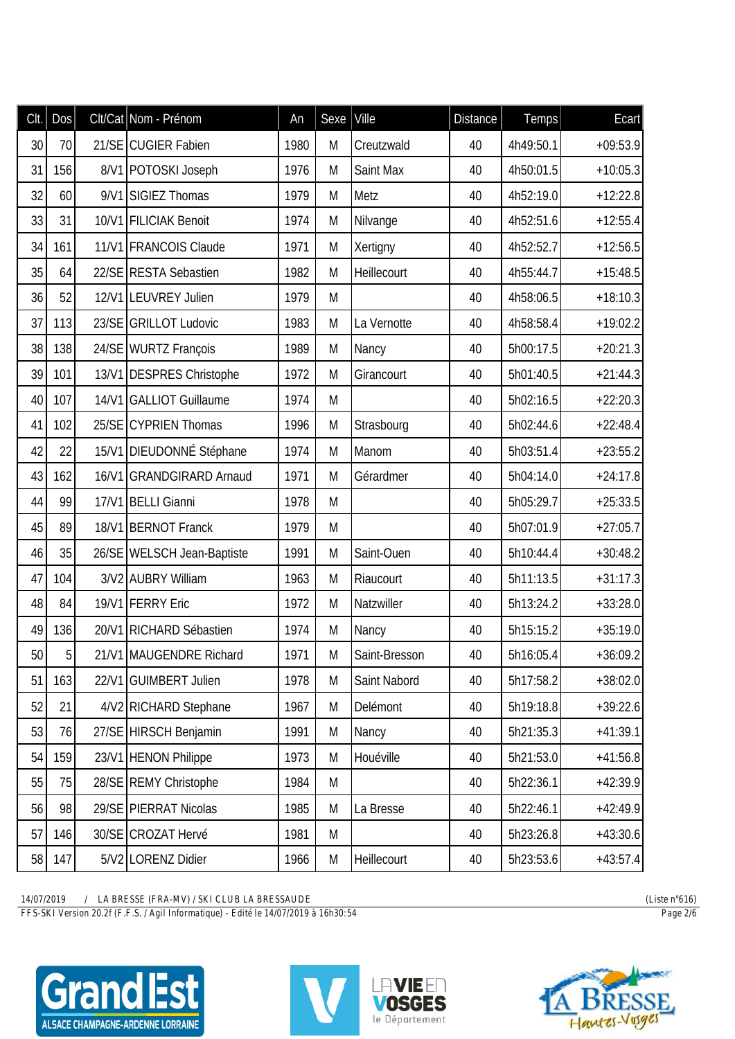| Clt. | Dos            | Clt/Cat Nom - Prénom       | An   | Sexe | Ville         | <b>Distance</b> | Temps     | Ecart      |
|------|----------------|----------------------------|------|------|---------------|-----------------|-----------|------------|
| 30   | 70             | 21/SE CUGIER Fabien        | 1980 | M    | Creutzwald    | 40              | 4h49:50.1 | $+09:53.9$ |
| 31   | 156            | 8/V1 POTOSKI Joseph        | 1976 | M    | Saint Max     | 40              | 4h50:01.5 | $+10:05.3$ |
| 32   | 60             | 9/V1 SIGIEZ Thomas         | 1979 | M    | Metz          | 40              | 4h52:19.0 | $+12:22.8$ |
| 33   | 31             | 10/V1 FILICIAK Benoit      | 1974 | M    | Nilvange      | 40              | 4h52:51.6 | $+12:55.4$ |
| 34   | 161            | 11/V1 FRANCOIS Claude      | 1971 | M    | Xertigny      | 40              | 4h52:52.7 | $+12:56.5$ |
| 35   | 64             | 22/SE RESTA Sebastien      | 1982 | M    | Heillecourt   | 40              | 4h55:44.7 | $+15:48.5$ |
| 36   | 52             | 12/V1 LEUVREY Julien       | 1979 | M    |               | 40              | 4h58:06.5 | $+18:10.3$ |
| 37   | 113            | 23/SE GRILLOT Ludovic      | 1983 | M    | La Vernotte   | 40              | 4h58:58.4 | $+19:02.2$ |
| 38   | 138            | 24/SE WURTZ François       | 1989 | M    | Nancy         | 40              | 5h00:17.5 | $+20:21.3$ |
| 39   | 101            | 13/V1 DESPRES Christophe   | 1972 | M    | Girancourt    | 40              | 5h01:40.5 | $+21:44.3$ |
| 40   | 107            | 14/V1 GALLIOT Guillaume    | 1974 | M    |               | 40              | 5h02:16.5 | $+22:20.3$ |
| 41   | 102            | 25/SE CYPRIEN Thomas       | 1996 | M    | Strasbourg    | 40              | 5h02:44.6 | $+22:48.4$ |
| 42   | 22             | 15/V1 DIEUDONNÉ Stéphane   | 1974 | M    | Manom         | 40              | 5h03:51.4 | $+23:55.2$ |
| 43   | 162            | 16/V1 GRANDGIRARD Arnaud   | 1971 | M    | Gérardmer     | 40              | 5h04:14.0 | $+24:17.8$ |
| 44   | 99             | 17/V1 BELLI Gianni         | 1978 | M    |               | 40              | 5h05:29.7 | $+25:33.5$ |
| 45   | 89             | 18/V1 BERNOT Franck        | 1979 | M    |               | 40              | 5h07:01.9 | $+27:05.7$ |
| 46   | 35             | 26/SE WELSCH Jean-Baptiste | 1991 | M    | Saint-Ouen    | 40              | 5h10:44.4 | $+30:48.2$ |
| 47   | 104            | 3/V2 AUBRY William         | 1963 | M    | Riaucourt     | 40              | 5h11:13.5 | $+31:17.3$ |
| 48   | 84             | 19/V1 FERRY Eric           | 1972 | M    | Natzwiller    | 40              | 5h13:24.2 | $+33:28.0$ |
| 49   | 136            | 20/V1 RICHARD Sébastien    | 1974 | M    | Nancy         | 40              | 5h15:15.2 | $+35:19.0$ |
| 50   | 5 <sup>1</sup> | 21/V1 MAUGENDRE Richard    | 1971 | М    | Saint-Bresson | 40              | 5h16:05.4 | $+36:09.2$ |
| 51   | 163            | 22/V1 GUIMBERT Julien      | 1978 | M    | Saint Nabord  | 40              | 5h17:58.2 | $+38:02.0$ |
| 52   | 21             | 4/V2 RICHARD Stephane      | 1967 | M    | Delémont      | 40              | 5h19:18.8 | $+39:22.6$ |
| 53   | 76             | 27/SE HIRSCH Benjamin      | 1991 | M    | Nancy         | 40              | 5h21:35.3 | $+41:39.1$ |
| 54   | 159            | 23/V1 HENON Philippe       | 1973 | M    | Houéville     | 40              | 5h21:53.0 | $+41:56.8$ |
| 55   | 75             | 28/SE REMY Christophe      | 1984 | M    |               | 40              | 5h22:36.1 | $+42:39.9$ |
| 56   | 98             | 29/SE PIERRAT Nicolas      | 1985 | M    | La Bresse     | 40              | 5h22:46.1 | $+42:49.9$ |
| 57   | 146            | 30/SE CROZAT Hervé         | 1981 | M    |               | 40              | 5h23:26.8 | $+43:30.6$ |
| 58   | 147            | 5/V2 LORENZ Didier         | 1966 | M    | Heillecourt   | 40              | 5h23:53.6 | $+43:57.4$ |

*FFS-SKI Version 20.2f (F.F.S. / Agil Informatique) - Edité le 14/07/2019 à 16h30:54 Page 2/6*





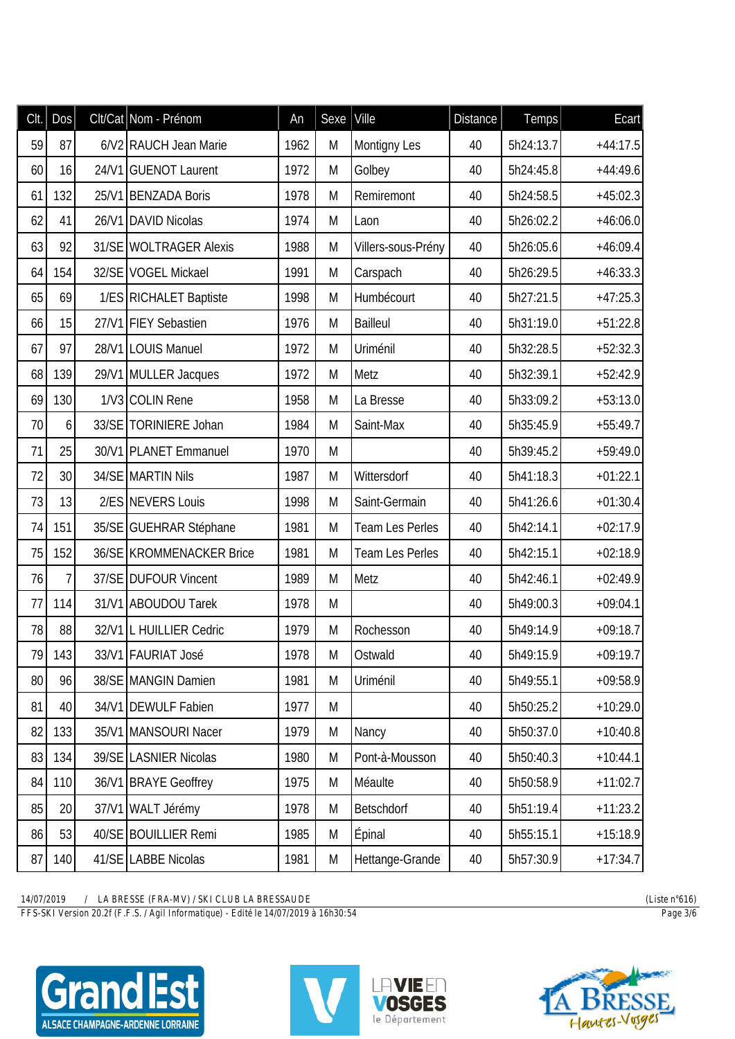| Clt. | Dos             |       | Clt/Cat Nom - Prénom     | An   | Sexe <sup>]</sup> | Ville              | <b>Distance</b> | Temps     | Ecart      |
|------|-----------------|-------|--------------------------|------|-------------------|--------------------|-----------------|-----------|------------|
| 59   | 87              |       | 6/V2 RAUCH Jean Marie    | 1962 | M                 | Montigny Les       | 40              | 5h24:13.7 | $+44:17.5$ |
| 60   | 16              | 24/V1 | <b>GUENOT Laurent</b>    | 1972 | M                 | Golbey             | 40              | 5h24:45.8 | $+44:49.6$ |
| 61   | 132             |       | 25/V1 BENZADA Boris      | 1978 | M                 | Remiremont         | 40              | 5h24:58.5 | $+45:02.3$ |
| 62   | 41              |       | 26/V1 DAVID Nicolas      | 1974 | M                 | Laon               | 40              | 5h26:02.2 | $+46:06.0$ |
| 63   | 92              |       | 31/SE WOLTRAGER Alexis   | 1988 | M                 | Villers-sous-Prény | 40              | 5h26:05.6 | $+46:09.4$ |
| 64   | 154             |       | 32/SE VOGEL Mickael      | 1991 | M                 | Carspach           | 40              | 5h26:29.5 | $+46:33.3$ |
| 65   | 69              |       | 1/ES RICHALET Baptiste   | 1998 | M                 | Humbécourt         | 40              | 5h27:21.5 | $+47:25.3$ |
| 66   | 15              |       | 27/V1 FIEY Sebastien     | 1976 | M                 | <b>Bailleul</b>    | 40              | 5h31:19.0 | $+51:22.8$ |
| 67   | 97              |       | 28/V1 LOUIS Manuel       | 1972 | M                 | Uriménil           | 40              | 5h32:28.5 | $+52:32.3$ |
| 68   | 139             |       | 29/V1 MULLER Jacques     | 1972 | M                 | Metz               | 40              | 5h32:39.1 | $+52:42.9$ |
| 69   | 130             |       | 1/V3 COLIN Rene          | 1958 | M                 | La Bresse          | 40              | 5h33:09.2 | $+53:13.0$ |
| 70   | 6               |       | 33/SE TORINIERE Johan    | 1984 | M                 | Saint-Max          | 40              | 5h35:45.9 | $+55:49.7$ |
| 71   | 25              |       | 30/V1 PLANET Emmanuel    | 1970 | M                 |                    | 40              | 5h39:45.2 | $+59:49.0$ |
| 72   | 30 <sup>°</sup> |       | 34/SE MARTIN Nils        | 1987 | M                 | Wittersdorf        | 40              | 5h41:18.3 | $+01:22.1$ |
| 73   | 13              |       | 2/ES NEVERS Louis        | 1998 | M                 | Saint-Germain      | 40              | 5h41:26.6 | $+01:30.4$ |
| 74   | 151             |       | 35/SE GUEHRAR Stéphane   | 1981 | M                 | Team Les Perles    | 40              | 5h42:14.1 | $+02:17.9$ |
| 75   | 152             |       | 36/SE KROMMENACKER Brice | 1981 | M                 | Team Les Perles    | 40              | 5h42:15.1 | $+02:18.9$ |
| 76   | $\overline{7}$  |       | 37/SE DUFOUR Vincent     | 1989 | M                 | Metz               | 40              | 5h42:46.1 | $+02:49.9$ |
| 77   | 114             |       | 31/V1 ABOUDOU Tarek      | 1978 | M                 |                    | 40              | 5h49:00.3 | $+09:04.1$ |
| 78   | 88              |       | 32/V1 L HUILLIER Cedric  | 1979 | M                 | Rochesson          | 40              | 5h49:14.9 | $+09:18.7$ |
| 79   | 143             |       | 33/V1 FAURIAT José       | 1978 | M                 | Ostwald            | 40              | 5h49:15.9 | $+09:19.7$ |
| 80   | 96              |       | 38/SE MANGIN Damien      | 1981 | M                 | Uriménil           | 40              | 5h49:55.1 | $+09:58.9$ |
| 81   | 40              |       | 34/V1 DEWULF Fabien      | 1977 | M                 |                    | 40              | 5h50:25.2 | $+10:29.0$ |
| 82   | 133             |       | 35/V1 MANSOURI Nacer     | 1979 | M                 | Nancy              | 40              | 5h50:37.0 | $+10:40.8$ |
| 83   | 134             |       | 39/SE LASNIER Nicolas    | 1980 | M                 | Pont-à-Mousson     | 40              | 5h50:40.3 | $+10:44.1$ |
| 84   | 110             | 36/V1 | <b>BRAYE</b> Geoffrey    | 1975 | M                 | Méaulte            | 40              | 5h50:58.9 | $+11:02.7$ |
| 85   | 20 <sup>°</sup> |       | 37/V1 WALT Jérémy        | 1978 | M                 | Betschdorf         | 40              | 5h51:19.4 | $+11:23.2$ |
| 86   | 53              |       | 40/SE BOUILLIER Remi     | 1985 | M                 | <b>Épinal</b>      | 40              | 5h55:15.1 | $+15:18.9$ |
| 87   | 140             |       | 41/SE LABBE Nicolas      | 1981 | M                 | Hettange-Grande    | 40              | 5h57:30.9 | $+17:34.7$ |

*FFS-SKI Version 20.2f (F.F.S. / Agil Informatique) - Edité le 14/07/2019 à 16h30:54 Page 3/6*





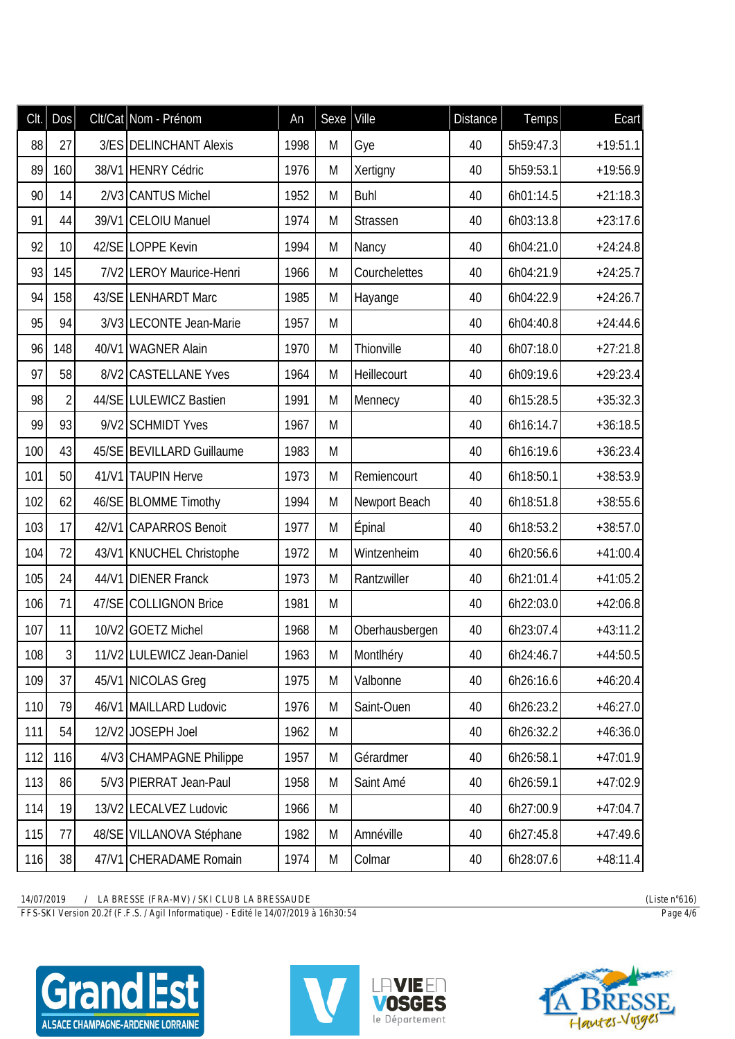| Clt. | Dos            | Clt/Cat Nom - Prénom       | An   | Sexe | Ville          | <b>Distance</b> | <b>Temps</b> | Ecart      |
|------|----------------|----------------------------|------|------|----------------|-----------------|--------------|------------|
| 88   | 27             | 3/ES DELINCHANT Alexis     | 1998 | M    | Gye            | 40              | 5h59:47.3    | $+19:51.1$ |
| 89   | 160            | 38/V1 HENRY Cédric         | 1976 | M    | Xertigny       | 40              | 5h59:53.1    | $+19:56.9$ |
| 90   | 14             | 2/V3 CANTUS Michel         | 1952 | M    | <b>Buhl</b>    | 40              | 6h01:14.5    | $+21:18.3$ |
| 91   | 44             | 39/V1 CELOIU Manuel        | 1974 | M    | Strassen       | 40              | 6h03:13.8    | $+23:17.6$ |
| 92   | 10             | 42/SE LOPPE Kevin          | 1994 | M    | Nancy          | 40              | 6h04:21.0    | $+24:24.8$ |
| 93   | 145            | 7/V2 LEROY Maurice-Henri   | 1966 | M    | Courchelettes  | 40              | 6h04:21.9    | $+24:25.7$ |
| 94   | 158            | 43/SE LENHARDT Marc        | 1985 | M    | Hayange        | 40              | 6h04:22.9    | $+24:26.7$ |
| 95   | 94             | 3/V3 LECONTE Jean-Marie    | 1957 | M    |                | 40              | 6h04:40.8    | $+24:44.6$ |
| 96   | 148            | 40/V1 WAGNER Alain         | 1970 | M    | Thionville     | 40              | 6h07:18.0    | $+27:21.8$ |
| 97   | 58             | 8/V2 CASTELLANE Yves       | 1964 | M    | Heillecourt    | 40              | 6h09:19.6    | $+29:23.4$ |
| 98   | $\overline{2}$ | 44/SE LULEWICZ Bastien     | 1991 | M    | Mennecy        | 40              | 6h15:28.5    | $+35:32.3$ |
| 99   | 93             | 9/V2 SCHMIDT Yves          | 1967 | M    |                | 40              | 6h16:14.7    | $+36:18.5$ |
| 100  | 43             | 45/SE BEVILLARD Guillaume  | 1983 | M    |                | 40              | 6h16:19.6    | $+36:23.4$ |
| 101  | 50             | 41/V1 TAUPIN Herve         | 1973 | M    | Remiencourt    | 40              | 6h18:50.1    | $+38:53.9$ |
| 102  | 62             | 46/SE BLOMME Timothy       | 1994 | M    | Newport Beach  | 40              | 6h18:51.8    | $+38:55.6$ |
| 103  | 17             | 42/V1 CAPARROS Benoit      | 1977 | M    | Épinal         | 40              | 6h18:53.2    | $+38:57.0$ |
| 104  | 72             | 43/V1 KNUCHEL Christophe   | 1972 | M    | Wintzenheim    | 40              | 6h20:56.6    | $+41:00.4$ |
| 105  | 24             | 44/V1 DIENER Franck        | 1973 | M    | Rantzwiller    | 40              | 6h21:01.4    | $+41:05.2$ |
| 106  | 71             | 47/SE COLLIGNON Brice      | 1981 | M    |                | 40              | 6h22:03.0    | $+42:06.8$ |
| 107  | 11             | 10/V2 GOETZ Michel         | 1968 | M    | Oberhausbergen | 40              | 6h23:07.4    | $+43:11.2$ |
| 108  | 3 <sup>1</sup> | 11/V2 LULEWICZ Jean-Daniel | 1963 | M    | Montlhéry      | 40              | 6h24:46.7    | $+44:50.5$ |
| 109  | 37             | 45/V1 NICOLAS Greg         | 1975 | M    | Valbonne       | 40              | 6h26:16.6    | $+46:20.4$ |
| 110  | 79             | 46/V1 MAILLARD Ludovic     | 1976 | M    | Saint-Ouen     | 40              | 6h26:23.2    | $+46:27.0$ |
| 111  | 54             | 12/V2 JOSEPH Joel          | 1962 | M    |                | 40              | 6h26:32.2    | $+46:36.0$ |
| 112  | 116            | 4/V3 CHAMPAGNE Philippe    | 1957 | M    | Gérardmer      | 40              | 6h26:58.1    | $+47:01.9$ |
| 113  | 86             | 5/V3 PIERRAT Jean-Paul     | 1958 | M    | Saint Amé      | 40              | 6h26:59.1    | $+47:02.9$ |
| 114  | 19             | 13/V2 LECALVEZ Ludovic     | 1966 | M    |                | 40              | 6h27:00.9    | $+47:04.7$ |
| 115  | 77             | 48/SE VILLANOVA Stéphane   | 1982 | M    | Amnéville      | 40              | 6h27:45.8    | $+47:49.6$ |
| 116  | 38             | 47/V1 CHERADAME Romain     | 1974 | M    | Colmar         | 40              | 6h28:07.6    | $+48:11.4$ |

*FFS-SKI Version 20.2f (F.F.S. / Agil Informatique) - Edité le 14/07/2019 à 16h30:54 Page 4/6*





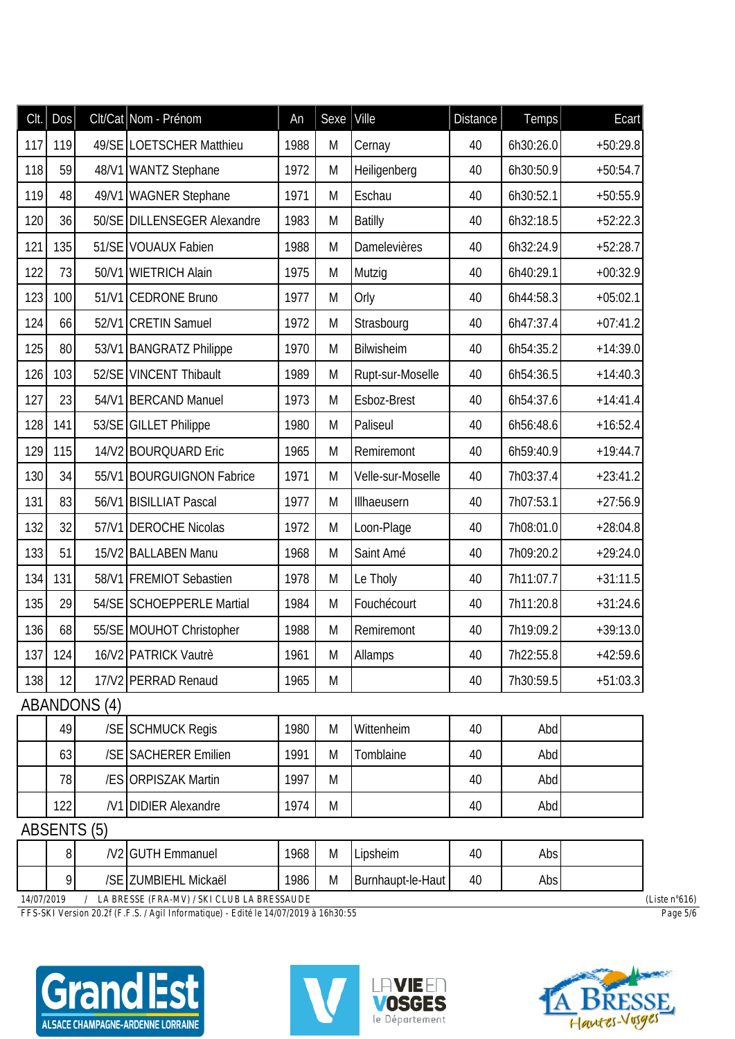| Clt. | <b>Dos</b> |                     | Clt/Cat Nom - Prénom          | An   | Sexe | Ville             | <b>Distance</b> | <b>Temps</b> | Ecart      |
|------|------------|---------------------|-------------------------------|------|------|-------------------|-----------------|--------------|------------|
| 117  | 119        |                     | 49/SE LOETSCHER Matthieu      | 1988 | M    | Cernay            | 40              | 6h30:26.0    | $+50:29.8$ |
| 118  | 59         |                     | 48/V1 WANTZ Stephane          | 1972 | M    | Heiligenberg      | 40              | 6h30:50.9    | $+50:54.7$ |
| 119  | 48         |                     | 49/V1 WAGNER Stephane         | 1971 | M    | Eschau            | 40              | 6h30:52.1    | $+50:55.9$ |
| 120  | 36         |                     | 50/SE DILLENSEGER Alexandre   | 1983 | M    | <b>Batilly</b>    | 40              | 6h32:18.5    | $+52:22.3$ |
| 121  | 135        |                     | 51/SE VOUAUX Fabien           | 1988 | M    | Damelevières      | 40              | 6h32:24.9    | $+52:28.7$ |
| 122  | 73         | 50/V1               | <b>WIETRICH Alain</b>         | 1975 | M    | Mutzig            | 40              | 6h40:29.1    | $+00:32.9$ |
| 123  | 100        |                     | 51/V1 CEDRONE Bruno           | 1977 | M    | Orly              | 40              | 6h44:58.3    | $+05:02.1$ |
| 124  | 66         | 52/V1               | <b>CRETIN Samuel</b>          | 1972 | M    | Strasbourg        | 40              | 6h47:37.4    | $+07:41.2$ |
| 125  | 80         |                     | 53/V1 BANGRATZ Philippe       | 1970 | M    | Bilwisheim        | 40              | 6h54:35.2    | $+14:39.0$ |
| 126  | 103        | 52/SE               | <b>VINCENT Thibault</b>       | 1989 | M    | Rupt-sur-Moselle  | 40              | 6h54:36.5    | $+14:40.3$ |
| 127  | 23         |                     | 54/V1 BERCAND Manuel          | 1973 | M    | Esboz-Brest       | 40              | 6h54:37.6    | $+14:41.4$ |
| 128  | 141        |                     | 53/SE GILLET Philippe         | 1980 | M    | Paliseul          | 40              | 6h56:48.6    | $+16:52.4$ |
| 129  | 115        |                     | 14/V2 BOURQUARD Eric          | 1965 | M    | Remiremont        | 40              | 6h59:40.9    | $+19:44.7$ |
| 130  | 34         |                     | 55/V1 BOURGUIGNON Fabrice     | 1971 | M    | Velle-sur-Moselle | 40              | 7h03:37.4    | $+23:41.2$ |
| 131  | 83         |                     | 56/V1 BISILLIAT Pascal        | 1977 | M    | Illhaeusern       | 40              | 7h07:53.1    | $+27:56.9$ |
| 132  | 32         |                     | 57/V1 DEROCHE Nicolas         | 1972 | M    | Loon-Plage        | 40              | 7h08:01.0    | $+28:04.8$ |
| 133  | 51         |                     | 15/V2 BALLABEN Manu           | 1968 | M    | Saint Amé         | 40              | 7h09:20.2    | $+29:24.0$ |
| 134  | 131        |                     | 58/V1 FREMIOT Sebastien       | 1978 | M    | Le Tholy          | 40              | 7h11:07.7    | $+31:11.5$ |
| 135  | 29         |                     | 54/SE SCHOEPPERLE Martial     | 1984 | M    | Fouchécourt       | 40              | 7h11:20.8    | $+31:24.6$ |
| 136  | 68         |                     | 55/SE MOUHOT Christopher      | 1988 | M    | Remiremont        | 40              | 7h19:09.2    | $+39:13.0$ |
|      | 137 124    |                     | 16/V2 PATRICK Vautrè          | 1961 | M    | Allamps           | 40              | 7h22:55.8    | $+42:59.6$ |
| 138  | 12         |                     | 17/V2 PERRAD Renaud           | 1965 | M    |                   | 40              | 7h30:59.5    | $+51:03.3$ |
|      |            | <b>ABANDONS (4)</b> |                               |      |      |                   |                 |              |            |
|      | 49         |                     | /SE SCHMUCK Regis             | 1980 | M    | Wittenheim        | 40              | Abd          |            |
|      | 63         |                     | /SE SACHERER Emilien          | 1991 | M    | Tomblaine         | 40              | Abd          |            |
|      | 78         |                     | /ES ORPISZAK Martin           | 1997 | M    |                   | 40              | Abd          |            |
|      | 122        |                     | /V1 DIDIER Alexandre          | 1974 | M    |                   | 40              | Abd          |            |
|      |            | <b>ABSENTS (5)</b>  |                               |      |      |                   |                 |              |            |
|      | 8          |                     | /V <sub>2</sub> GUTH Emmanuel | 1968 | M    | Lipsheim          | 40              | Abs          |            |

|                                                                  |  | N2            | :mmanuel<br>ا ادار | 1968 | . .<br>ΙVΙ | ipsheim               | 40 | Abs |  |  |
|------------------------------------------------------------------|--|---------------|--------------------|------|------------|-----------------------|----|-----|--|--|
|                                                                  |  | $\sim$ $\sim$ | Mickaël<br>UMBIEHL | 1986 | M          | I Burnhaupt-le-Haut I | 40 | Abs |  |  |
| 1.0758010<br><b>FI DRESSE (ERI 1971) (STIL STILE I DRESSITIO</b> |  |               |                    |      |            |                       |    |     |  |  |

*FFS-SKI Version 20.2f (F.F.S. / Agil Informatique) - Edité le 14/07/2019 à 16h30:55 Page 5/6*